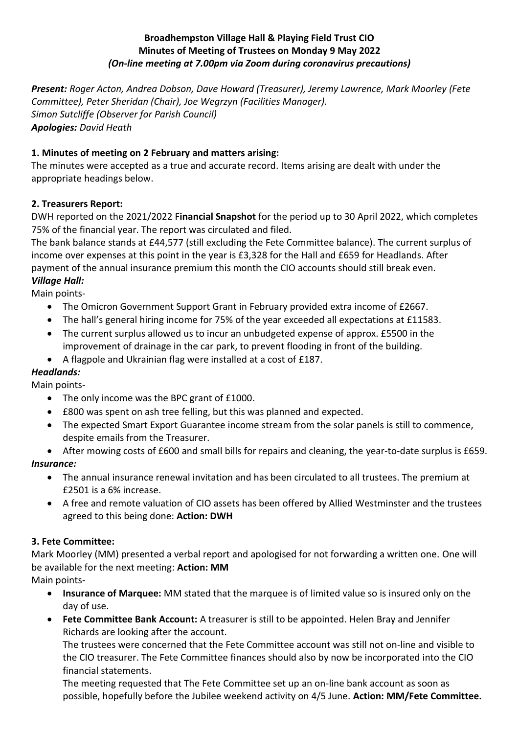## **Broadhempston Village Hall & Playing Field Trust CIO Minutes of Meeting of Trustees on Monday 9 May 2022** *(On-line meeting at 7.00pm via Zoom during coronavirus precautions)*

*Present: Roger Acton, Andrea Dobson, Dave Howard (Treasurer), Jeremy Lawrence, Mark Moorley (Fete Committee), Peter Sheridan (Chair), Joe Wegrzyn (Facilities Manager). Simon Sutcliffe (Observer for Parish Council) Apologies: David Heath*

## **1. Minutes of meeting on 2 February and matters arising:**

The minutes were accepted as a true and accurate record. Items arising are dealt with under the appropriate headings below.

## **2. Treasurers Report:**

DWH reported on the 2021/2022 F**inancial Snapshot** for the period up to 30 April 2022, which completes 75% of the financial year. The report was circulated and filed.

The bank balance stands at £44,577 (still excluding the Fete Committee balance). The current surplus of income over expenses at this point in the year is £3,328 for the Hall and £659 for Headlands. After payment of the annual insurance premium this month the CIO accounts should still break even. *Village Hall:*

Main points-

- The Omicron Government Support Grant in February provided extra income of £2667.
- The hall's general hiring income for 75% of the year exceeded all expectations at £11583.
- The current surplus allowed us to incur an unbudgeted expense of approx. £5500 in the improvement of drainage in the car park, to prevent flooding in front of the building.
- A flagpole and Ukrainian flag were installed at a cost of £187.

## *Headlands:*

Main points-

- The only income was the BPC grant of £1000.
- £800 was spent on ash tree felling, but this was planned and expected.
- The expected Smart Export Guarantee income stream from the solar panels is still to commence, despite emails from the Treasurer.
- After mowing costs of £600 and small bills for repairs and cleaning, the year-to-date surplus is £659. *Insurance:*
	- The annual insurance renewal invitation and has been circulated to all trustees. The premium at £2501 is a 6% increase.
	- A free and remote valuation of CIO assets has been offered by Allied Westminster and the trustees agreed to this being done: **Action: DWH**

## **3. Fete Committee:**

Mark Moorley (MM) presented a verbal report and apologised for not forwarding a written one. One will be available for the next meeting: **Action: MM**

Main points-

- **Insurance of Marquee:** MM stated that the marquee is of limited value so is insured only on the day of use.
- **Fete Committee Bank Account:** A treasurer is still to be appointed. Helen Bray and Jennifer Richards are looking after the account.

The trustees were concerned that the Fete Committee account was still not on-line and visible to the CIO treasurer. The Fete Committee finances should also by now be incorporated into the CIO financial statements.

The meeting requested that The Fete Committee set up an on-line bank account as soon as possible, hopefully before the Jubilee weekend activity on 4/5 June. **Action: MM/Fete Committee.**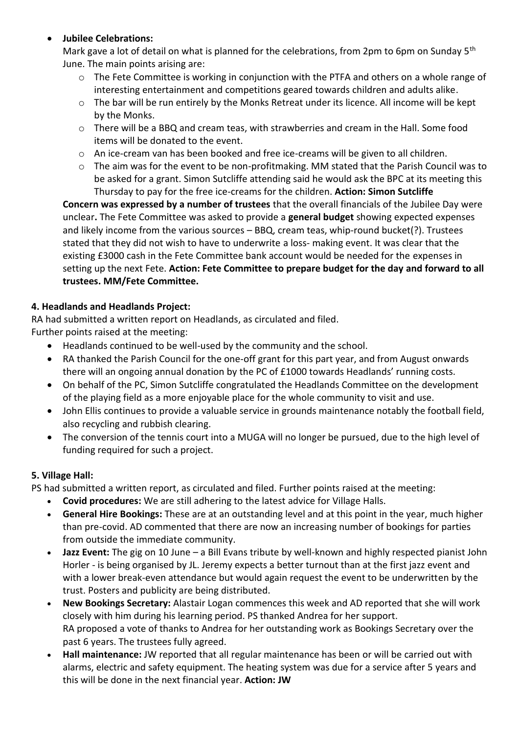# • **Jubilee Celebrations:**

Mark gave a lot of detail on what is planned for the celebrations, from 2pm to 6pm on Sunday 5<sup>th</sup> June. The main points arising are:

- o The Fete Committee is working in conjunction with the PTFA and others on a whole range of interesting entertainment and competitions geared towards children and adults alike.
- $\circ$  The bar will be run entirely by the Monks Retreat under its licence. All income will be kept by the Monks.
- o There will be a BBQ and cream teas, with strawberries and cream in the Hall. Some food items will be donated to the event.
- $\circ$  An ice-cream van has been booked and free ice-creams will be given to all children.
- o The aim was for the event to be non-profitmaking. MM stated that the Parish Council was to be asked for a grant. Simon Sutcliffe attending said he would ask the BPC at its meeting this Thursday to pay for the free ice-creams for the children. **Action: Simon Sutcliffe**

**Concern was expressed by a number of trustees** that the overall financials of the Jubilee Day were unclear**.** The Fete Committee was asked to provide a **general budget** showing expected expenses and likely income from the various sources – BBQ, cream teas, whip-round bucket(?). Trustees stated that they did not wish to have to underwrite a loss- making event. It was clear that the existing £3000 cash in the Fete Committee bank account would be needed for the expenses in setting up the next Fete. **Action: Fete Committee to prepare budget for the day and forward to all trustees. MM/Fete Committee.**

# **4. Headlands and Headlands Project:**

RA had submitted a written report on Headlands, as circulated and filed.

Further points raised at the meeting:

- Headlands continued to be well-used by the community and the school.
- RA thanked the Parish Council for the one-off grant for this part year, and from August onwards there will an ongoing annual donation by the PC of £1000 towards Headlands' running costs.
- On behalf of the PC, Simon Sutcliffe congratulated the Headlands Committee on the development of the playing field as a more enjoyable place for the whole community to visit and use.
- John Ellis continues to provide a valuable service in grounds maintenance notably the football field, also recycling and rubbish clearing.
- The conversion of the tennis court into a MUGA will no longer be pursued, due to the high level of funding required for such a project.

# **5. Village Hall:**

PS had submitted a written report, as circulated and filed. Further points raised at the meeting:

- **Covid procedures:** We are still adhering to the latest advice for Village Halls.
- **General Hire Bookings:** These are at an outstanding level and at this point in the year, much higher than pre-covid. AD commented that there are now an increasing number of bookings for parties from outside the immediate community.
- **Jazz Event:** The gig on 10 June a Bill Evans tribute by well-known and highly respected pianist John Horler - is being organised by JL. Jeremy expects a better turnout than at the first jazz event and with a lower break-even attendance but would again request the event to be underwritten by the trust. Posters and publicity are being distributed.
- **New Bookings Secretary:** Alastair Logan commences this week and AD reported that she will work closely with him during his learning period. PS thanked Andrea for her support. RA proposed a vote of thanks to Andrea for her outstanding work as Bookings Secretary over the past 6 years. The trustees fully agreed.
- **Hall maintenance:** JW reported that all regular maintenance has been or will be carried out with alarms, electric and safety equipment. The heating system was due for a service after 5 years and this will be done in the next financial year. **Action: JW**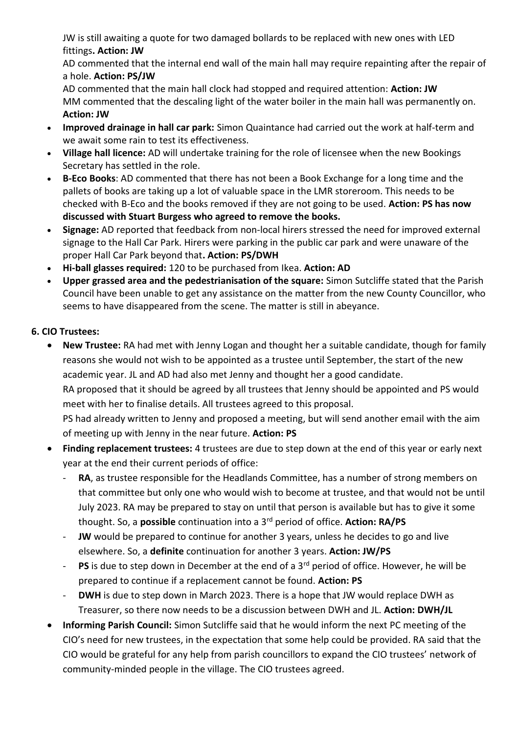JW is still awaiting a quote for two damaged bollards to be replaced with new ones with LED fittings**. Action: JW**

AD commented that the internal end wall of the main hall may require repainting after the repair of a hole. **Action: PS/JW**

AD commented that the main hall clock had stopped and required attention: **Action: JW** MM commented that the descaling light of the water boiler in the main hall was permanently on. **Action: JW**

- **Improved drainage in hall car park:** Simon Quaintance had carried out the work at half-term and we await some rain to test its effectiveness.
- **Village hall licence:** AD will undertake training for the role of licensee when the new Bookings Secretary has settled in the role.
- **B-Eco Books**: AD commented that there has not been a Book Exchange for a long time and the pallets of books are taking up a lot of valuable space in the LMR storeroom. This needs to be checked with B-Eco and the books removed if they are not going to be used. **Action: PS has now discussed with Stuart Burgess who agreed to remove the books.**
- **Signage:** AD reported that feedback from non-local hirers stressed the need for improved external signage to the Hall Car Park. Hirers were parking in the public car park and were unaware of the proper Hall Car Park beyond that**. Action: PS/DWH**
- **Hi-ball glasses required:** 120 to be purchased from Ikea. **Action: AD**
- **Upper grassed area and the pedestrianisation of the square:** Simon Sutcliffe stated that the Parish Council have been unable to get any assistance on the matter from the new County Councillor, who seems to have disappeared from the scene. The matter is still in abeyance.

# **6. CIO Trustees:**

- **New Trustee:** RA had met with Jenny Logan and thought her a suitable candidate, though for family reasons she would not wish to be appointed as a trustee until September, the start of the new academic year. JL and AD had also met Jenny and thought her a good candidate. RA proposed that it should be agreed by all trustees that Jenny should be appointed and PS would meet with her to finalise details. All trustees agreed to this proposal. PS had already written to Jenny and proposed a meeting, but will send another email with the aim of meeting up with Jenny in the near future. **Action: PS**
- **Finding replacement trustees:** 4 trustees are due to step down at the end of this year or early next year at the end their current periods of office:
	- RA, as trustee responsible for the Headlands Committee, has a number of strong members on that committee but only one who would wish to become at trustee, and that would not be until July 2023. RA may be prepared to stay on until that person is available but has to give it some thought. So, a **possible** continuation into a 3rd period of office. **Action: RA/PS**
	- JW would be prepared to continue for another 3 years, unless he decides to go and live elsewhere. So, a **definite** continuation for another 3 years. **Action: JW/PS**
	- **PS** is due to step down in December at the end of a 3<sup>rd</sup> period of office. However, he will be prepared to continue if a replacement cannot be found. **Action: PS**
	- DWH is due to step down in March 2023. There is a hope that JW would replace DWH as Treasurer, so there now needs to be a discussion between DWH and JL. **Action: DWH/JL**
- **Informing Parish Council:** Simon Sutcliffe said that he would inform the next PC meeting of the CIO's need for new trustees, in the expectation that some help could be provided. RA said that the CIO would be grateful for any help from parish councillors to expand the CIO trustees' network of community-minded people in the village. The CIO trustees agreed.